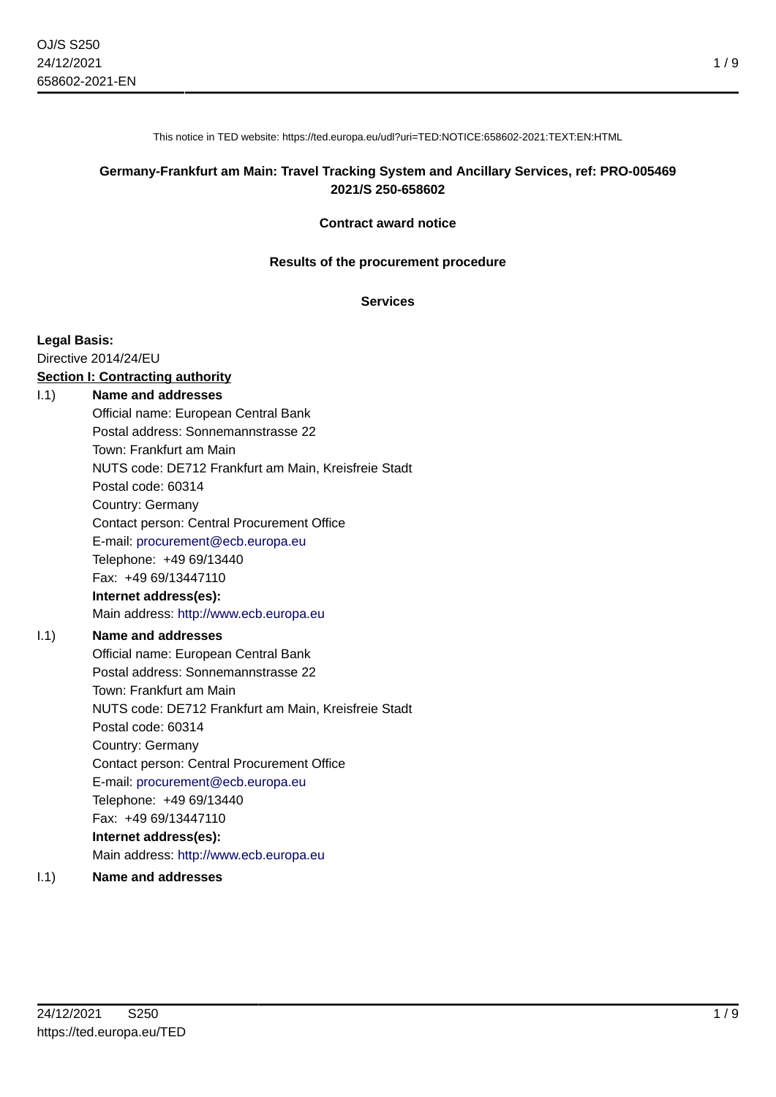This notice in TED website: https://ted.europa.eu/udl?uri=TED:NOTICE:658602-2021:TEXT:EN:HTML

### **Germany-Frankfurt am Main: Travel Tracking System and Ancillary Services, ref: PRO-005469 2021/S 250-658602**

#### **Contract award notice**

#### **Results of the procurement procedure**

#### **Services**

#### **Legal Basis:**

Directive 2014/24/EU

#### **Section I: Contracting authority**

#### I.1) **Name and addresses**

Official name: European Central Bank Postal address: Sonnemannstrasse 22 Town: Frankfurt am Main NUTS code: DE712 Frankfurt am Main, Kreisfreie Stadt Postal code: 60314 Country: Germany Contact person: Central Procurement Office E-mail: [procurement@ecb.europa.eu](mailto:procurement@ecb.europa.eu) Telephone: +49 69/13440 Fax: +49 69/13447110 **Internet address(es):** Main address:<http://www.ecb.europa.eu> I.1) **Name and addresses** Official name: European Central Bank

Postal address: Sonnemannstrasse 22 Town: Frankfurt am Main NUTS code: DE712 Frankfurt am Main, Kreisfreie Stadt Postal code: 60314 Country: Germany Contact person: Central Procurement Office E-mail: [procurement@ecb.europa.eu](mailto:procurement@ecb.europa.eu) Telephone: +49 69/13440 Fax: +49 69/13447110 **Internet address(es):** Main address:<http://www.ecb.europa.eu>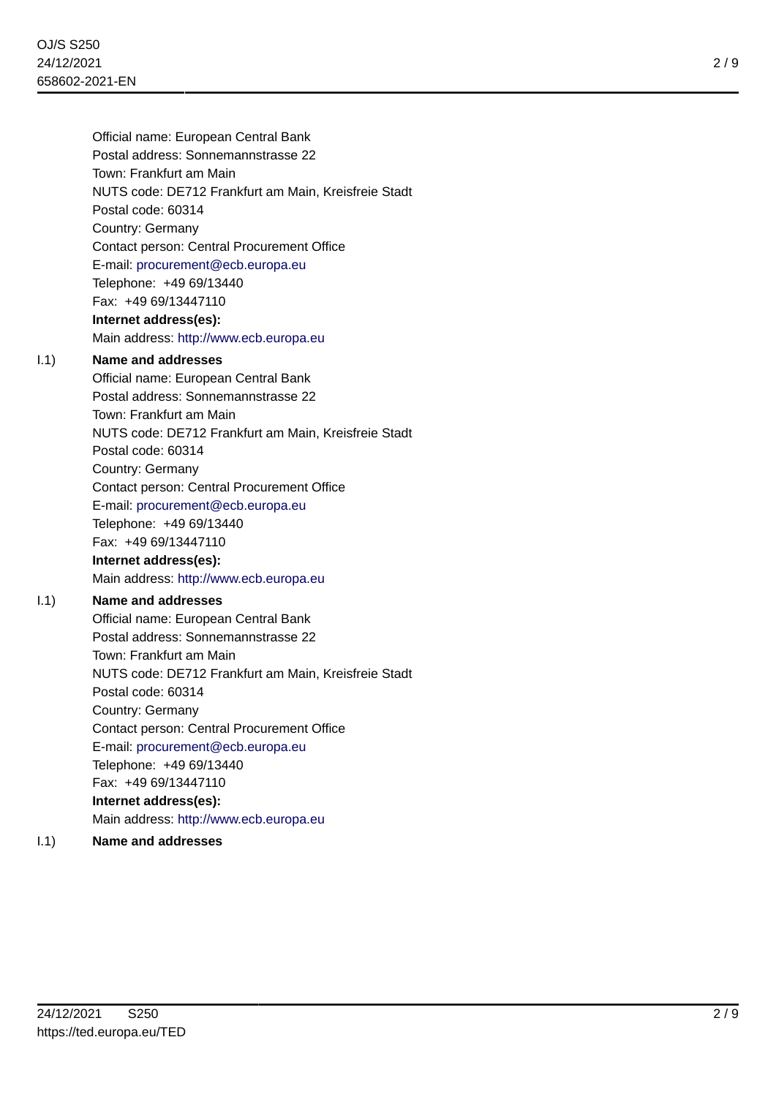E-mail: [procurement@ecb.europa.eu](mailto:procurement@ecb.europa.eu)

Telephone: +49 69/13440

Fax: +49 69/13447110

### **Internet address(es):**

Main address:<http://www.ecb.europa.eu>

### I.1) **Name and addresses**

Official name: European Central Bank Postal address: Sonnemannstrasse 22 Town: Frankfurt am Main NUTS code: DE712 Frankfurt am Main, Kreisfreie Stadt Postal code: 60314 Country: Germany Contact person: Central Procurement Office E-mail: [procurement@ecb.europa.eu](mailto:procurement@ecb.europa.eu) Telephone: +49 69/13440 Fax: +49 69/13447110 **Internet address(es):** Main address:<http://www.ecb.europa.eu>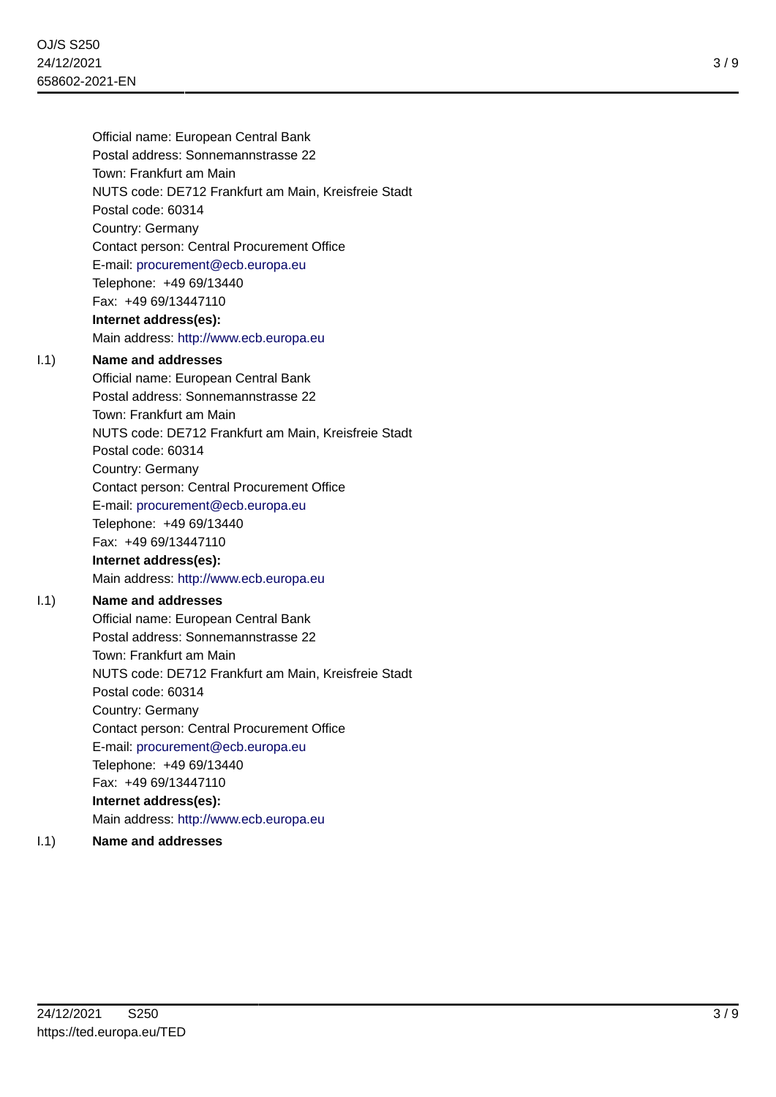E-mail: [procurement@ecb.europa.eu](mailto:procurement@ecb.europa.eu)

Telephone: +49 69/13440

Fax: +49 69/13447110

#### **Internet address(es):**

Main address:<http://www.ecb.europa.eu>

#### I.1) **Name and addresses**

Official name: European Central Bank Postal address: Sonnemannstrasse 22 Town: Frankfurt am Main NUTS code: DE712 Frankfurt am Main, Kreisfreie Stadt Postal code: 60314 Country: Germany Contact person: Central Procurement Office E-mail: [procurement@ecb.europa.eu](mailto:procurement@ecb.europa.eu) Telephone: +49 69/13440 Fax: +49 69/13447110 **Internet address(es):** Main address:<http://www.ecb.europa.eu>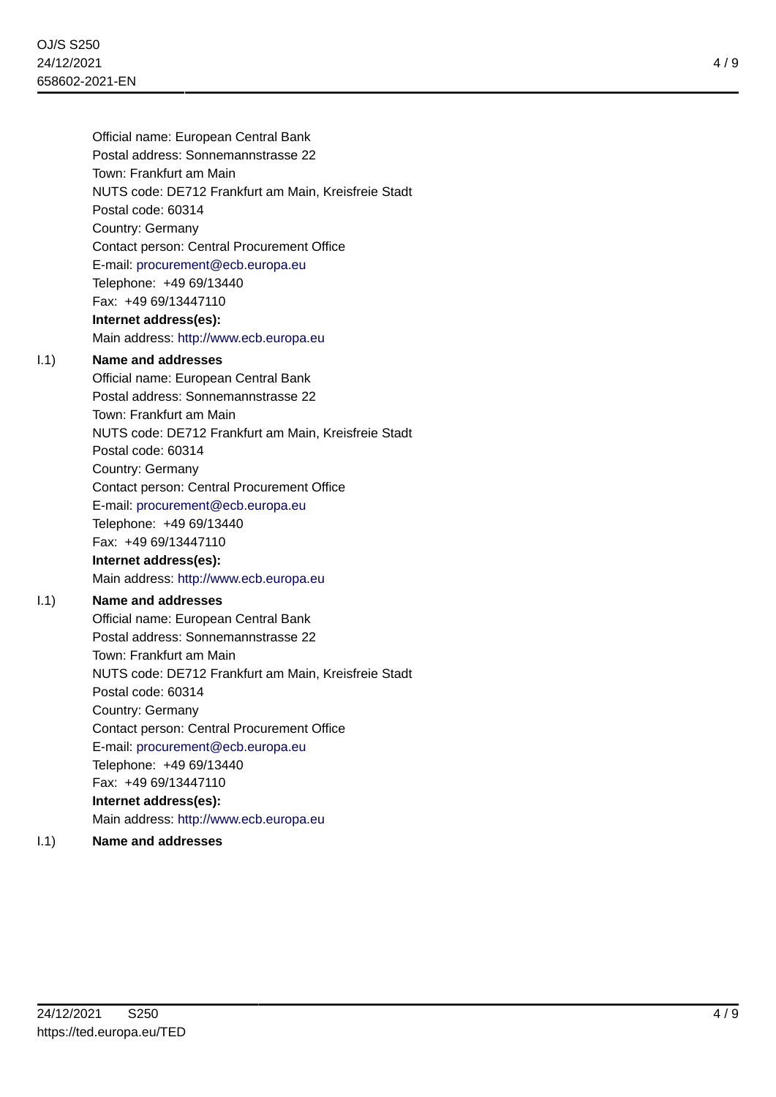E-mail: [procurement@ecb.europa.eu](mailto:procurement@ecb.europa.eu)

Telephone: +49 69/13440

Fax: +49 69/13447110

#### **Internet address(es):**

Main address:<http://www.ecb.europa.eu>

#### I.1) **Name and addresses**

Official name: European Central Bank Postal address: Sonnemannstrasse 22 Town: Frankfurt am Main NUTS code: DE712 Frankfurt am Main, Kreisfreie Stadt Postal code: 60314 Country: Germany Contact person: Central Procurement Office E-mail: [procurement@ecb.europa.eu](mailto:procurement@ecb.europa.eu) Telephone: +49 69/13440 Fax: +49 69/13447110 **Internet address(es):** Main address:<http://www.ecb.europa.eu>

### I.1) **Name and addresses**

4 / 9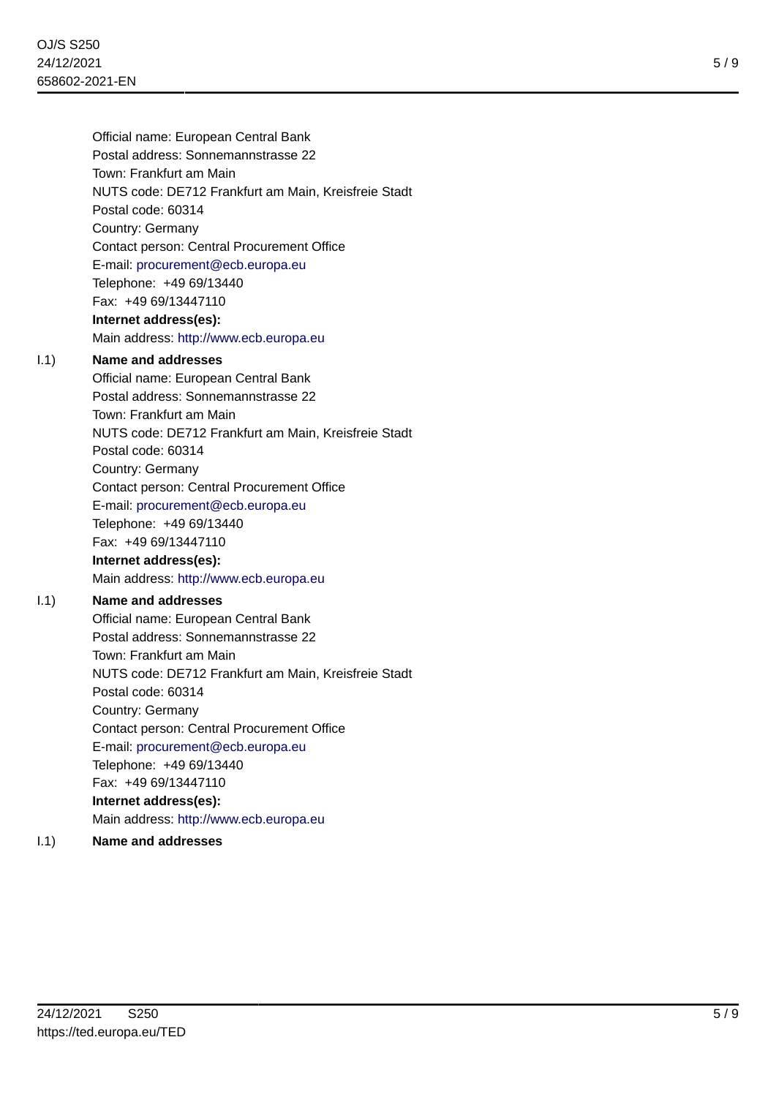E-mail: [procurement@ecb.europa.eu](mailto:procurement@ecb.europa.eu)

Telephone: +49 69/13440

Fax: +49 69/13447110

### **Internet address(es):**

Main address:<http://www.ecb.europa.eu>

### I.1) **Name and addresses**

Official name: European Central Bank Postal address: Sonnemannstrasse 22 Town: Frankfurt am Main NUTS code: DE712 Frankfurt am Main, Kreisfreie Stadt Postal code: 60314 Country: Germany Contact person: Central Procurement Office E-mail: [procurement@ecb.europa.eu](mailto:procurement@ecb.europa.eu) Telephone: +49 69/13440 Fax: +49 69/13447110 **Internet address(es):** Main address:<http://www.ecb.europa.eu>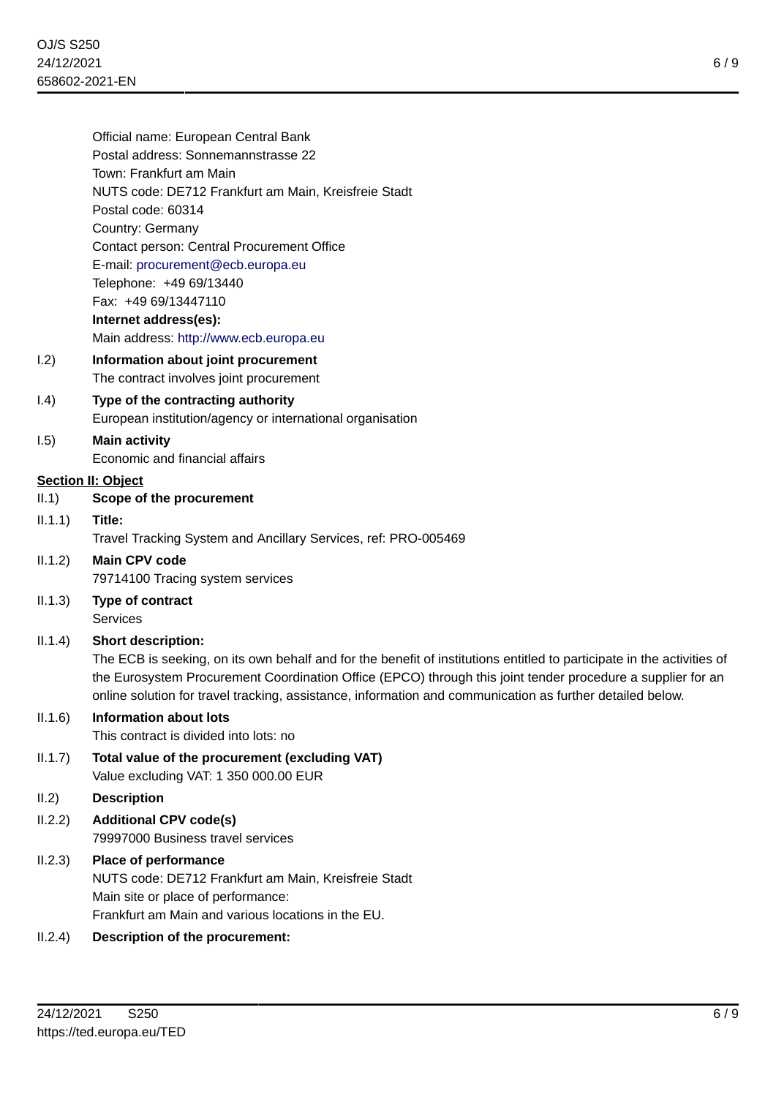|                 | Official name: European Central Bank                                                                                   |
|-----------------|------------------------------------------------------------------------------------------------------------------------|
|                 | Postal address: Sonnemannstrasse 22                                                                                    |
|                 | Town: Frankfurt am Main                                                                                                |
|                 | NUTS code: DE712 Frankfurt am Main, Kreisfreie Stadt                                                                   |
|                 | Postal code: 60314                                                                                                     |
|                 | Country: Germany                                                                                                       |
|                 | Contact person: Central Procurement Office                                                                             |
|                 | E-mail: procurement@ecb.europa.eu                                                                                      |
|                 | Telephone: +49 69/13440                                                                                                |
|                 | Fax: +49 69/13447110                                                                                                   |
|                 | Internet address(es):                                                                                                  |
|                 | Main address: http://www.ecb.europa.eu                                                                                 |
| 1.2)            | Information about joint procurement                                                                                    |
|                 | The contract involves joint procurement                                                                                |
| (0.4)           | Type of the contracting authority                                                                                      |
|                 | European institution/agency or international organisation                                                              |
| 1.5)            | <b>Main activity</b>                                                                                                   |
|                 | Economic and financial affairs                                                                                         |
|                 | <b>Section II: Object</b>                                                                                              |
| II.1)           | Scope of the procurement                                                                                               |
| $ 1.1.1\rangle$ | Title:                                                                                                                 |
|                 | Travel Tracking System and Ancillary Services, ref: PRO-005469                                                         |
| II.1.2)         | <b>Main CPV code</b>                                                                                                   |
|                 | 79714100 Tracing system services                                                                                       |
| II.1.3)         | Type of contract                                                                                                       |
|                 | <b>Services</b>                                                                                                        |
| II.1.4)         | <b>Short description:</b>                                                                                              |
|                 | The ECB is seeking, on its own behalf and for the benefit of institutions entitled to participate in the activities of |
|                 | the Eurosystem Procurement Coordination Office (EPCO) through this joint tender procedure a supplier for an            |
|                 | online solution for travel tracking, assistance, information and communication as further detailed below.              |
| II.1.6)         | <b>Information about lots</b>                                                                                          |
|                 | This contract is divided into lots: no                                                                                 |
| II.1.7)         | Total value of the procurement (excluding VAT)                                                                         |
|                 | Value excluding VAT: 1 350 000.00 EUR                                                                                  |
| II.2)           | <b>Description</b>                                                                                                     |
| II.2.2)         | <b>Additional CPV code(s)</b>                                                                                          |
|                 | 79997000 Business travel services                                                                                      |
| II.2.3)         | Place of performance                                                                                                   |
|                 | NUTS code: DE712 Frankfurt am Main, Kreisfreie Stadt                                                                   |
|                 | Main site or place of performance:                                                                                     |
|                 |                                                                                                                        |

Frankfurt am Main and various locations in the EU.

# II.2.4) **Description of the procurement:**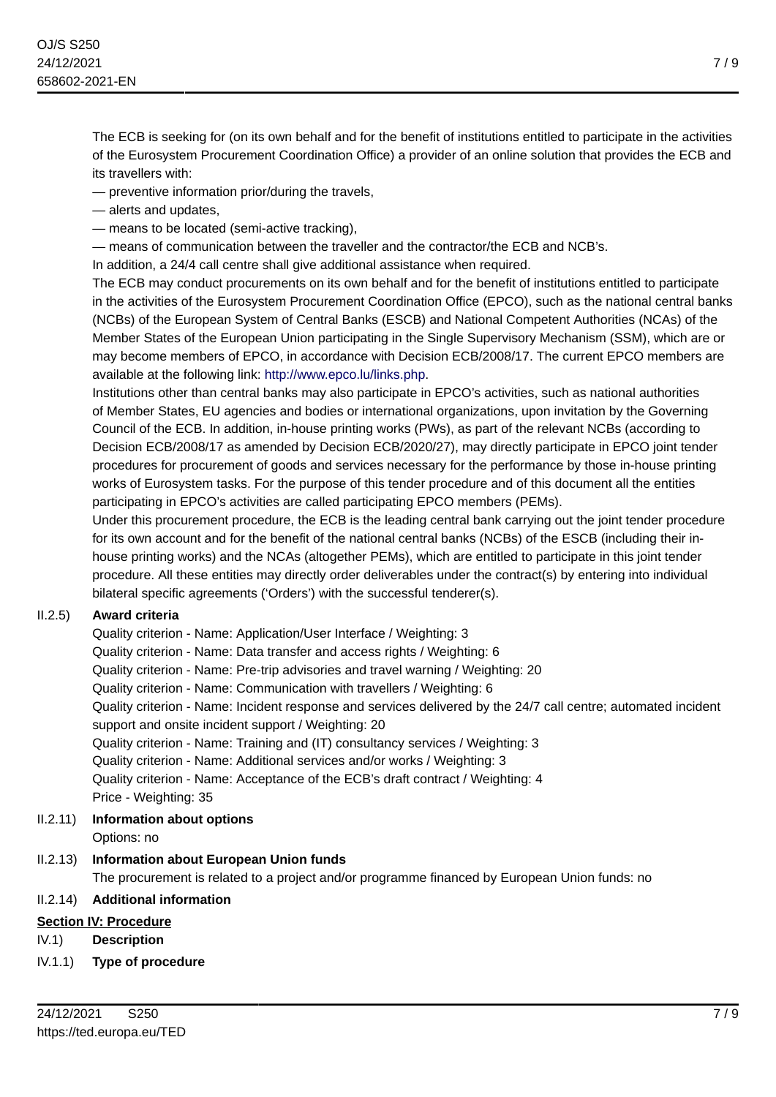The ECB is seeking for (on its own behalf and for the benefit of institutions entitled to participate in the activities of the Eurosystem Procurement Coordination Office) a provider of an online solution that provides the ECB and its travellers with:

— preventive information prior/during the travels,

- alerts and updates,
- means to be located (semi-active tracking),

— means of communication between the traveller and the contractor/the ECB and NCB's.

In addition, a 24/4 call centre shall give additional assistance when required.

The ECB may conduct procurements on its own behalf and for the benefit of institutions entitled to participate in the activities of the Eurosystem Procurement Coordination Office (EPCO), such as the national central banks (NCBs) of the European System of Central Banks (ESCB) and National Competent Authorities (NCAs) of the Member States of the European Union participating in the Single Supervisory Mechanism (SSM), which are or may become members of EPCO, in accordance with Decision ECB/2008/17. The current EPCO members are available at the following link:<http://www.epco.lu/links.php>.

Institutions other than central banks may also participate in EPCO's activities, such as national authorities of Member States, EU agencies and bodies or international organizations, upon invitation by the Governing Council of the ECB. In addition, in-house printing works (PWs), as part of the relevant NCBs (according to Decision ECB/2008/17 as amended by Decision ECB/2020/27), may directly participate in EPCO joint tender procedures for procurement of goods and services necessary for the performance by those in-house printing works of Eurosystem tasks. For the purpose of this tender procedure and of this document all the entities participating in EPCO's activities are called participating EPCO members (PEMs).

Under this procurement procedure, the ECB is the leading central bank carrying out the joint tender procedure for its own account and for the benefit of the national central banks (NCBs) of the ESCB (including their inhouse printing works) and the NCAs (altogether PEMs), which are entitled to participate in this joint tender procedure. All these entities may directly order deliverables under the contract(s) by entering into individual bilateral specific agreements ('Orders') with the successful tenderer(s).

# II.2.5) **Award criteria**

Quality criterion - Name: Application/User Interface / Weighting: 3 Quality criterion - Name: Data transfer and access rights / Weighting: 6 Quality criterion - Name: Pre-trip advisories and travel warning / Weighting: 20 Quality criterion - Name: Communication with travellers / Weighting: 6 Quality criterion - Name: Incident response and services delivered by the 24/7 call centre; automated incident support and onsite incident support / Weighting: 20 Quality criterion - Name: Training and (IT) consultancy services / Weighting: 3 Quality criterion - Name: Additional services and/or works / Weighting: 3 Quality criterion - Name: Acceptance of the ECB's draft contract / Weighting: 4 Price - Weighting: 35

# II.2.11) **Information about options**

Options: no

# II.2.13) **Information about European Union funds**

The procurement is related to a project and/or programme financed by European Union funds: no

# II.2.14) **Additional information**

# **Section IV: Procedure**

- IV.1) **Description**
- IV.1.1) **Type of procedure**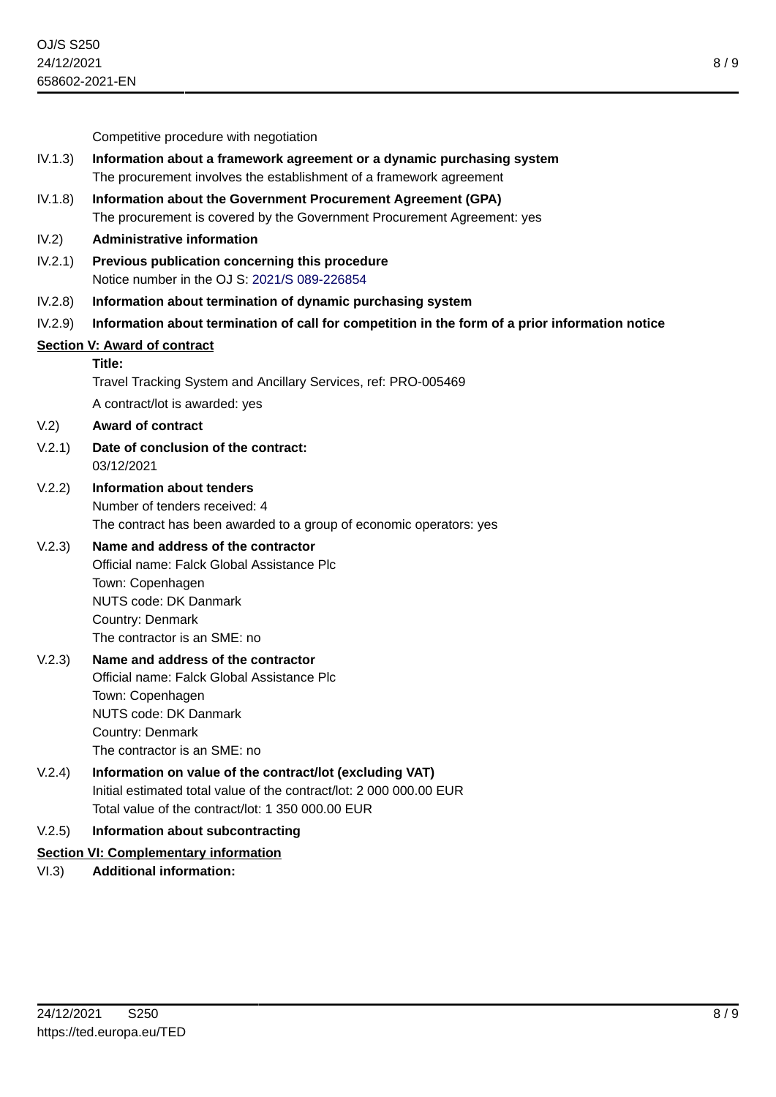8 / 9

|         | 658602-2021-EN                                                                                                                                                                           |
|---------|------------------------------------------------------------------------------------------------------------------------------------------------------------------------------------------|
|         |                                                                                                                                                                                          |
|         | Competitive procedure with negotiation                                                                                                                                                   |
| IV.1.3) | Information about a framework agreement or a dynamic purchasing system<br>The procurement involves the establishment of a framework agreement                                            |
| IV.1.8) | Information about the Government Procurement Agreement (GPA)<br>The procurement is covered by the Government Procurement Agreement: yes                                                  |
| IV.2)   | <b>Administrative information</b>                                                                                                                                                        |
| IV.2.1) | Previous publication concerning this procedure<br>Notice number in the OJ S: 2021/S 089-226854                                                                                           |
| IV.2.8) | Information about termination of dynamic purchasing system                                                                                                                               |
| IV.2.9) | Information about termination of call for competition in the form of a prior information notice                                                                                          |
|         | <b>Section V: Award of contract</b>                                                                                                                                                      |
|         | Title:                                                                                                                                                                                   |
|         | Travel Tracking System and Ancillary Services, ref: PRO-005469                                                                                                                           |
|         | A contract/lot is awarded: yes                                                                                                                                                           |
| V.2)    | <b>Award of contract</b>                                                                                                                                                                 |
| V.2.1)  | Date of conclusion of the contract:<br>03/12/2021                                                                                                                                        |
| V.2.2)  | <b>Information about tenders</b><br>Number of tenders received: 4<br>The contract has been awarded to a group of economic operators: yes                                                 |
| V.2.3)  | Name and address of the contractor<br>Official name: Falck Global Assistance Plc<br>Town: Copenhagen<br><b>NUTS code: DK Danmark</b><br>Country: Denmark<br>The contractor is an SME: no |
| V.2.3)  | Name and address of the contractor<br>Official name: Falck Global Assistance Plc<br>Town: Copenhagen<br><b>NUTS code: DK Danmark</b><br>Country: Denmark<br>The contractor is an SME: no |
| V.2.4)  | Information on value of the contract/lot (excluding VAT)<br>Initial estimated total value of the contract/lot: 2 000 000.00 EUR<br>Total value of the contract/lot: 1 350 000.00 EUR     |
| V.2.5)  | Information about subcontracting                                                                                                                                                         |
|         | <b>Section VI: Complementary information</b>                                                                                                                                             |
| VI.3)   | <b>Additional information:</b>                                                                                                                                                           |
|         |                                                                                                                                                                                          |